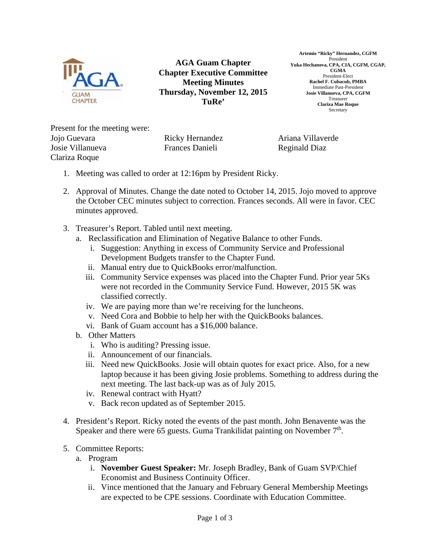

**AGA Guam Chapter Chapter Executive Committee Meeting Minutes Thursday, November 12, 2015 TuRe'** 

**Artemio "Ricky" Hernandez, CGFM**  President **Yuka Hechanova, CPA, CIA, CGFM, CGAP, CGMA**  President-Elect **Rachel F. Cubacub, PMBA**  Immediate Past-President **Josie Villanueva, CPA, CGFM**  Treasurer **Clariza Mae Roque**  Secretary

Present for the meeting were: Jojo Guevara Josie Villanueva Clariza Roque

Ricky Hernandez Frances Danieli

Ariana Villaverde Reginald Diaz

- 1. Meeting was called to order at 12:16pm by President Ricky.
- 2. Approval of Minutes. Change the date noted to October 14, 2015. Jojo moved to approve the October CEC minutes subject to correction. Frances seconds. All were in favor. CEC minutes approved.
- 3. Treasurer's Report. Tabled until next meeting.
	- a. Reclassification and Elimination of Negative Balance to other Funds.
		- i. Suggestion: Anything in excess of Community Service and Professional Development Budgets transfer to the Chapter Fund.
		- ii. Manual entry due to QuickBooks error/malfunction.
		- iii. Community Service expenses was placed into the Chapter Fund. Prior year 5Ks were not recorded in the Community Service Fund. However, 2015 5K was classified correctly.
		- iv. We are paying more than we're receiving for the luncheons.
		- v. Need Cora and Bobbie to help her with the QuickBooks balances.
		- vi. Bank of Guam account has a \$16,000 balance.
	- b. Other Matters
		- i. Who is auditing? Pressing issue.
		- ii. Announcement of our financials.
		- iii. Need new QuickBooks. Josie will obtain quotes for exact price. Also, for a new laptop because it has been giving Josie problems. Something to address during the next meeting. The last back-up was as of July 2015.
		- iv. Renewal contract with Hyatt?
		- v. Back recon updated as of September 2015.
- 4. President's Report. Ricky noted the events of the past month. John Benavente was the Speaker and there were 65 guests. Guma Trankilidat painting on November  $7<sup>th</sup>$ .
- 5. Committee Reports:
	- a. Program
		- i. **November Guest Speaker:** Mr. Joseph Bradley, Bank of Guam SVP/Chief Economist and Business Continuity Officer.
		- ii. Vince mentioned that the January and February General Membership Meetings are expected to be CPE sessions. Coordinate with Education Committee.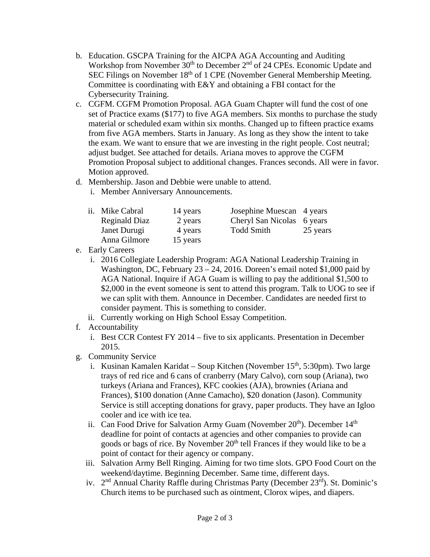- b. Education. GSCPA Training for the AICPA AGA Accounting and Auditing Workshop from November 30<sup>th</sup> to December 2<sup>nd</sup> of 24 CPEs. Economic Update and SEC Filings on November 18<sup>th</sup> of 1 CPE (November General Membership Meeting. Committee is coordinating with E&Y and obtaining a FBI contact for the Cybersecurity Training.
- c. CGFM. CGFM Promotion Proposal. AGA Guam Chapter will fund the cost of one set of Practice exams (\$177) to five AGA members. Six months to purchase the study material or scheduled exam within six months. Changed up to fifteen practice exams from five AGA members. Starts in January. As long as they show the intent to take the exam. We want to ensure that we are investing in the right people. Cost neutral; adjust budget. See attached for details. Ariana moves to approve the CGFM Promotion Proposal subject to additional changes. Frances seconds. All were in favor. Motion approved.
- d. Membership. Jason and Debbie were unable to attend.
	- i. Member Anniversary Announcements.

|               | 14 years        | Josephine Muescan 4 years  |          |
|---------------|-----------------|----------------------------|----------|
| Reginald Diaz | 2 years         | Cheryl San Nicolas 6 years |          |
| Janet Durugi  | 4 years         | <b>Todd Smith</b>          | 25 years |
| Anna Gilmore  | 15 years        |                            |          |
|               | ii. Mike Cabral |                            |          |

- e. Early Careers
	- i. 2016 Collegiate Leadership Program: AGA National Leadership Training in Washington, DC, February  $23 - 24$ , 2016. Doreen's email noted \$1,000 paid by AGA National. Inquire if AGA Guam is willing to pay the additional \$1,500 to \$2,000 in the event someone is sent to attend this program. Talk to UOG to see if we can split with them. Announce in December. Candidates are needed first to consider payment. This is something to consider.
	- ii. Currently working on High School Essay Competition.
- f. Accountability
	- i. Best CCR Contest FY 2014 five to six applicants. Presentation in December 2015.
- g. Community Service
	- i. Kusinan Kamalen Karidat Soup Kitchen (November  $15<sup>th</sup>$ , 5:30pm). Two large trays of red rice and 6 cans of cranberry (Mary Calvo), corn soup (Ariana), two turkeys (Ariana and Frances), KFC cookies (AJA), brownies (Ariana and Frances), \$100 donation (Anne Camacho), \$20 donation (Jason). Community Service is still accepting donations for gravy, paper products. They have an Igloo cooler and ice with ice tea.
	- ii. Can Food Drive for Salvation Army Guam (November  $20<sup>th</sup>$ ). December  $14<sup>th</sup>$ deadline for point of contacts at agencies and other companies to provide can goods or bags of rice. By November 20<sup>th</sup> tell Frances if they would like to be a point of contact for their agency or company.
	- iii. Salvation Army Bell Ringing. Aiming for two time slots. GPO Food Court on the weekend/daytime. Beginning December. Same time, different days.
	- iv. 2<sup>nd</sup> Annual Charity Raffle during Christmas Party (December 23<sup>rd</sup>). St. Dominic's Church items to be purchased such as ointment, Clorox wipes, and diapers.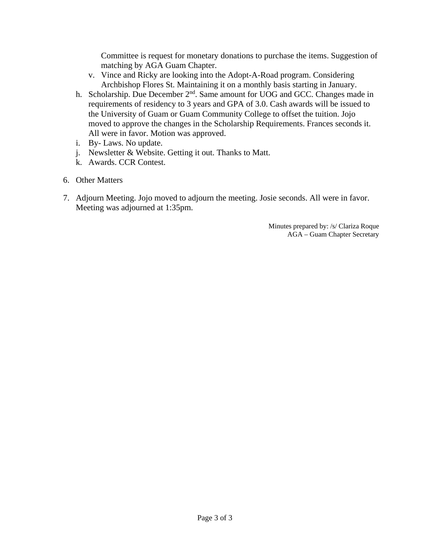Committee is request for monetary donations to purchase the items. Suggestion of matching by AGA Guam Chapter.

- v. Vince and Ricky are looking into the Adopt-A-Road program. Considering Archbishop Flores St. Maintaining it on a monthly basis starting in January.
- h. Scholarship. Due December 2<sup>nd</sup>. Same amount for UOG and GCC. Changes made in requirements of residency to 3 years and GPA of 3.0. Cash awards will be issued to the University of Guam or Guam Community College to offset the tuition. Jojo moved to approve the changes in the Scholarship Requirements. Frances seconds it. All were in favor. Motion was approved.
- i. By- Laws. No update.
- j. Newsletter & Website. Getting it out. Thanks to Matt.
- k. Awards. CCR Contest.
- 6. Other Matters
- 7. Adjourn Meeting. Jojo moved to adjourn the meeting. Josie seconds. All were in favor. Meeting was adjourned at 1:35pm.

Minutes prepared by: /s/ Clariza Roque AGA – Guam Chapter Secretary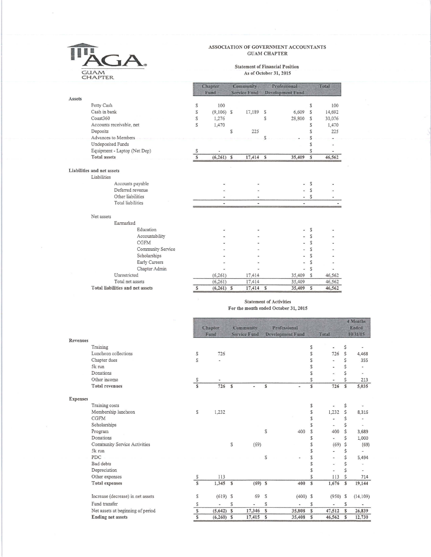

 $\sim$ 

## ASSOCIATION OF GOVERNMENT ACCOUNTANTS **GUAM CHAPTER**

### **Statement of Financial Position** As of October 31, 2015

|        |                                  |                   |                         | Chapter<br>Fund |    | Community<br><b>Service Fund</b> |   | Professional<br><b>Development Fund</b> |              | Total  |
|--------|----------------------------------|-------------------|-------------------------|-----------------|----|----------------------------------|---|-----------------------------------------|--------------|--------|
| Assets |                                  |                   |                         |                 |    |                                  |   |                                         |              |        |
|        | Petty Cash                       |                   | S                       | 100             |    |                                  |   |                                         | S            | 100    |
|        | Cash in bank                     |                   | S                       | $(9,106)$ \$    |    | 17,189                           | S | 6,609                                   | S            | 14,692 |
|        | Coast360                         |                   | S                       | 1,276           |    |                                  | S | 28,800                                  | S            | 30,076 |
|        | Accounts receivable, net         |                   | S                       | 1,470           |    |                                  |   |                                         | S            | 1,470  |
|        | Deposits                         |                   |                         |                 | \$ | 225                              |   |                                         | \$           | 225    |
|        | Advances to Members              |                   |                         |                 |    |                                  | S |                                         | S            |        |
|        | Undeposited Funds                |                   |                         |                 |    |                                  |   |                                         | S            |        |
|        | Equipment - Laptop (Net Dep)     |                   | S                       |                 |    |                                  |   |                                         | \$           |        |
|        | <b>Total assets</b>              |                   | $\overline{\mathbf{s}}$ | $(6,261)$ \$    |    | 17,414 \$                        |   | 35,409                                  | $\mathbf S$  | 46,562 |
|        | Liabilities and net assets       |                   |                         |                 |    |                                  |   |                                         |              |        |
|        | Liabilities                      |                   |                         |                 |    |                                  |   |                                         |              |        |
|        |                                  | Accounts payable  |                         |                 |    |                                  |   |                                         | S            |        |
|        |                                  | Deferred revenue  |                         |                 |    |                                  |   |                                         | S            |        |
|        | Other liabilities                |                   |                         |                 |    |                                  |   |                                         | S            |        |
|        | Total liabilities                |                   |                         | ÷               |    | ٠                                |   | $\overline{\phantom{a}}$                |              |        |
|        | Net assets                       |                   |                         |                 |    |                                  |   |                                         |              |        |
|        | Earmarked                        |                   |                         |                 |    |                                  |   |                                         |              |        |
|        |                                  | Education         |                         |                 |    |                                  |   |                                         | S            |        |
|        |                                  | Accountability    |                         |                 |    |                                  |   |                                         | S            |        |
|        |                                  | <b>CGFM</b>       |                         |                 |    |                                  |   |                                         | S            |        |
|        |                                  | Community Service |                         |                 |    |                                  |   |                                         | S            |        |
|        |                                  | Scholarships      |                         |                 |    |                                  |   |                                         | \$           |        |
|        |                                  | Early Careers     |                         |                 |    |                                  |   |                                         | \$           |        |
|        |                                  | Chapter Admin     |                         |                 |    |                                  |   | ×,                                      | S            |        |
|        | Unrestricted                     |                   |                         | (6,261)         |    | 17,414                           |   | 35,409                                  | $\mathbb{S}$ | 46,562 |
|        | Total net assets                 |                   |                         | (6, 261)        |    | 17,414                           |   | 35,409                                  |              | 46,562 |
|        | Total liabilities and net assets |                   | S                       | $(6,261)$ \$    |    | 17,414                           | S | 35,409                                  | S            | 46,562 |

### Statement of Activities For the month ended October 31, 2015

|                 |                                   |                |                 |              |                                         |                      |                                         |              |                |              | 4 Months                 |  |
|-----------------|-----------------------------------|----------------|-----------------|--------------|-----------------------------------------|----------------------|-----------------------------------------|--------------|----------------|--------------|--------------------------|--|
|                 |                                   |                | Chapter<br>Fund |              | <b>Community</b><br><b>Service Fund</b> |                      | Professional<br><b>Development Fund</b> |              | Total          |              | <b>Ended</b><br>10/31/15 |  |
| Revenues        |                                   |                |                 |              |                                         |                      |                                         |              |                |              |                          |  |
|                 | Training                          |                |                 |              |                                         |                      |                                         | S            |                | \$           |                          |  |
|                 | Luncheon collections              | ${\mathbb S}$  | 726             |              |                                         |                      |                                         | S            | 726            | \$           | 4,468                    |  |
|                 | Chapter dues                      | S              |                 |              |                                         |                      |                                         | S            | $\overline{a}$ | Ś            | 355                      |  |
|                 | 5k run                            |                |                 |              |                                         |                      |                                         | S            | $\overline{a}$ | \$           |                          |  |
|                 | Donations                         |                |                 |              |                                         |                      |                                         | S            | ¥              | \$           | $\overline{\phantom{0}}$ |  |
|                 | Other income                      | S              |                 |              |                                         |                      |                                         | S            |                | \$           | 213                      |  |
|                 | <b>Total revenues</b>             | $\overline{s}$ | 726             | <sup>S</sup> | $\ddot{\phantom{1}}$                    | S                    | ٠                                       | S            | 726            | $\mathbb{S}$ | 5,035                    |  |
| <b>Expenses</b> |                                   |                |                 |              |                                         |                      |                                         |              |                |              |                          |  |
|                 | Training costs                    |                |                 |              |                                         |                      |                                         | S            | a,             | \$           |                          |  |
|                 | Membership luncheon               | S              | 1,232           |              |                                         |                      |                                         | \$           | 1,232          | \$           | 8,316                    |  |
|                 | <b>CGFM</b>                       |                |                 |              |                                         |                      |                                         | S            | $\blacksquare$ | \$           |                          |  |
|                 | Scholarships                      |                |                 |              |                                         |                      |                                         | S            | $\blacksquare$ | \$           |                          |  |
|                 | Program                           |                |                 |              |                                         | S                    | 400                                     | S            | 400            | Ś            | 3,689                    |  |
|                 | Donations                         |                |                 |              |                                         |                      |                                         | S            | ¥,             | Ś            | 1,000                    |  |
|                 | Community Service Activities      |                |                 | S            | (69)                                    |                      |                                         | S            | (69)           | \$           | (69)                     |  |
|                 | 5k run                            |                |                 |              |                                         |                      |                                         | \$           | $\ddot{}$      | \$           |                          |  |
|                 | PDC                               |                |                 |              |                                         | S                    |                                         | S            | $\blacksquare$ | \$           | 5,494                    |  |
|                 | Bad debts                         |                |                 |              |                                         |                      |                                         | \$           | ä,             | \$           |                          |  |
|                 | Depreciation                      |                |                 |              |                                         |                      |                                         | S            |                | \$           |                          |  |
|                 | Other expenses                    | S              | 113             |              |                                         |                      |                                         | \$           | 113            | \$           | 714                      |  |
|                 | <b>Total expenses</b>             | S              | 1,345           | $\mathbf{s}$ | $(69)$ \$                               |                      | 400                                     | s            | 1,676          | $\mathbb{S}$ | 19,144                   |  |
|                 | Increase (decrease) in net assets | S              | $(619)$ \$      |              | 69                                      | S                    | $(400)$ \$                              |              | $(950)$ \$     |              | (14, 109)                |  |
|                 | Fund transfer                     | S              | ÷,              | S            | $\sim$                                  | S                    | ÷.                                      | S            | a)             | S            | ۰                        |  |
|                 | Net assets at beginning of period | $\mathbb S$    | (5,642)         | $\mathbf{s}$ | 17,346                                  | S                    | 35,808                                  | $\mathbf{s}$ | 47,512         | S            | 26,839                   |  |
|                 | <b>Ending net assets</b>          | $\mathbf{s}$   | $(6,260)$ \$    |              | 17,415                                  | $\tilde{\mathbf{s}}$ | 35,408                                  | $\mathbf S$  | 46,562         | $\mathbb{S}$ | 12,730                   |  |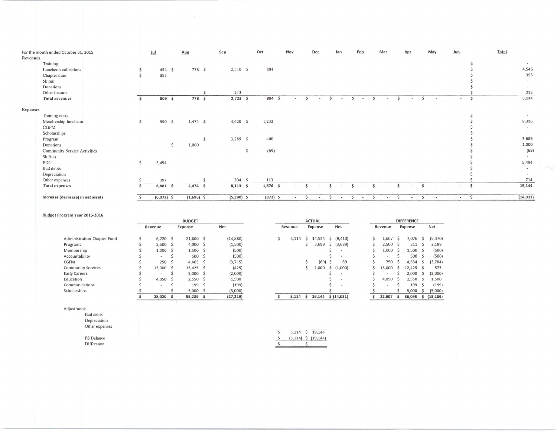|                 | For the month ended October 31, 2015 |              | Jul           | Aug           | Sep          | Oct        | Nov    | Dec                      | Jan    | Feb                 | Mar    | Apr            | May    |                | Jun            |              | Total         |
|-----------------|--------------------------------------|--------------|---------------|---------------|--------------|------------|--------|--------------------------|--------|---------------------|--------|----------------|--------|----------------|----------------|--------------|---------------|
| Revenues        |                                      |              |               |               |              |            |        |                          |        |                     |        |                |        |                |                |              |               |
|                 | Training                             |              |               |               |              |            |        |                          |        |                     |        |                |        |                |                |              |               |
|                 | Luncheon collections                 |              | $454 \quad 5$ | 778 \$        | 2,510 \$     | 804        |        |                          |        |                     |        |                |        |                |                |              | 4,546         |
|                 | Chapter dues                         |              | 355           |               |              |            |        |                          |        |                     |        |                |        |                |                |              | 355           |
|                 | 5k run                               |              |               |               |              |            |        |                          |        |                     |        |                |        |                |                |              | $\sim$        |
|                 | Donations                            |              |               |               |              |            |        |                          |        |                     |        |                |        |                |                |              | $\sim$        |
|                 | Other income                         |              |               |               | 213          |            |        |                          |        |                     |        |                |        |                |                |              | 213           |
|                 | <b>Total revenues</b>                | S            | 809 \$        | 778 \$        | $2,723$ \$   | 804 \$     | $\sim$ | $\blacksquare$           | $\sim$ | Ś<br>$\blacksquare$ |        |                | $\sim$ | $\sim$         | $\sim$         |              | 5,114         |
| <b>Expenses</b> |                                      |              |               |               |              |            |        |                          |        |                     |        |                |        |                |                |              |               |
|                 | Training costs                       |              |               |               |              |            |        |                          |        |                     |        |                |        |                |                |              |               |
|                 | Membership luncheon                  | $\mathsf{S}$ | 990 \$        | $1,474$ \$    | 4,620 \$     | 1,232      |        |                          |        |                     |        |                |        |                |                |              | 8,316         |
|                 | <b>CGFM</b>                          |              |               |               |              |            |        |                          |        |                     |        |                |        |                |                |              |               |
|                 | Scholarships                         |              |               |               |              |            |        |                          |        |                     |        |                |        |                |                |              |               |
|                 | Program                              |              |               | $\mathcal{S}$ | 3,289 \$     | 400        |        |                          |        |                     |        |                |        |                |                |              | 3,689         |
|                 | Donations                            |              |               | 1,000         |              |            |        |                          |        |                     |        |                |        |                |                |              | 1,000         |
|                 | <b>Community Service Activities</b>  |              |               |               | S            | (69)       |        |                          |        |                     |        |                |        |                |                |              | (69)          |
|                 | 5k Run                               |              |               |               |              |            |        |                          |        |                     |        |                |        |                |                |              |               |
|                 | PDC                                  | \$           | 5,494         |               |              |            |        |                          |        |                     |        |                |        |                |                |              | 5,494         |
|                 | <b>Bad debts</b>                     |              |               |               |              |            |        |                          |        |                     |        |                |        |                |                |              | $\rightarrow$ |
|                 |                                      |              |               |               |              |            |        |                          |        |                     |        |                |        |                |                |              | $\sim$        |
|                 | Depreciation                         |              |               |               |              |            |        |                          |        |                     |        |                |        |                |                |              |               |
|                 | Other expenses                       |              | 397           |               | 204 \$       | 113        |        |                          |        |                     |        |                |        |                |                |              | 714           |
|                 | <b>Total expenses</b>                |              | $6,881$ \$    | $2,474$ \$    | $8,113$ \$   | $1,676$ \$ | $-$    | $\sim$                   | $-$    | $\sim$              | $\sim$ | $\overline{a}$ | Ŝ      | $\overline{a}$ | $\overline{a}$ |              | 19,144        |
|                 | Increase (decrease) in net assets    | \$.          | $(6,072)$ \$  | $(1,696)$ \$  | $(5,390)$ \$ | $(872)$ \$ | $\sim$ | $\overline{\phantom{a}}$ | $\sim$ | \$.<br>$\sim$       | $\sim$ | $\sim$         | Ŝ      | $\sim$         | $\sim$         | <sub>S</sub> | (14, 031)     |

#### **Budget Program Year 2015-2016**

|                             | <b>BUDGET</b> |  |             |    |            |  | <b>ACTUAL</b> |   |         |  |                          |  |         | <b>DIFFERENCE</b> |            |  |              |  |  |  |  |  |
|-----------------------------|---------------|--|-------------|----|------------|--|---------------|---|---------|--|--------------------------|--|---------|-------------------|------------|--|--------------|--|--|--|--|--|
|                             | Revenue       |  | Expense     |    | <b>Net</b> |  | Revenue       |   | Expense |  | Net                      |  | Revenue |                   | Expense    |  | Net          |  |  |  |  |  |
| Administration-Chapter Fund | 6,720         |  | 21,600      |    | (14, 880)  |  | 5,114         | S | 14,524  |  | $\frac{2}{9}$ (9,410)    |  | 1,607   |                   | 7,076      |  | (5, 470)     |  |  |  |  |  |
| Programs                    | 2,500         |  | $4,000$ \$  |    | (1,500)    |  |               |   | 3,689   |  | \$ (3,689)               |  | 2,500   |                   | 311        |  | 2,189        |  |  |  |  |  |
| Membership                  | 1,000         |  | 1,500       | -5 | (500)      |  |               |   |         |  | $\sim$                   |  | 1,000   |                   | $1,500$ \$ |  | (500)        |  |  |  |  |  |
| Accountability              | $\sim$        |  | 500         |    | (500)      |  |               |   |         |  |                          |  | $\sim$  |                   | 500        |  | (500)        |  |  |  |  |  |
| CGFM                        | 750           |  | 4,465       |    | (3,715)    |  |               |   | (69)    |  | 69                       |  | 750     |                   | 4,534      |  | (3, 784)     |  |  |  |  |  |
| <b>Community Services</b>   | 13,000        |  | $13,425$ \$ |    | (425)      |  |               |   | 1,000   |  | \$(1,000)                |  | 13,000  |                   | 12,425     |  | 575          |  |  |  |  |  |
| <b>Early Careers</b>        |               |  | $2,000$ \$  |    | (2,000)    |  |               |   |         |  | $\overline{\phantom{a}}$ |  | $\sim$  |                   | 2,000      |  | (2,000)      |  |  |  |  |  |
| Education                   | 4.050         |  | 2,550       |    | 1,500      |  |               |   |         |  | $\overline{a}$           |  | 4,050   |                   | 2,550      |  | 1,500        |  |  |  |  |  |
| Communications              | $\sim$        |  | 199         |    | (199)      |  |               |   |         |  | $\sim$                   |  | $\sim$  |                   | 199        |  | (199)        |  |  |  |  |  |
| Scholarships                | $\sim$        |  | 5,000       |    | (5,000)    |  |               |   |         |  | <b>Section</b>           |  | $\sim$  |                   | 5,000      |  | (5,000)      |  |  |  |  |  |
|                             | 28,020        |  | 55,239      | -S | (27, 219)  |  | 5,114         | Ŝ | 19,144  |  | \$(14,031)               |  | 22,907  |                   | 36,095     |  | \$ (13, 189) |  |  |  |  |  |
|                             |               |  |             |    |            |  |               |   |         |  |                          |  |         |                   |            |  |              |  |  |  |  |  |

**Adjustment:** 

Bad debts **Depreciation** 

Other expenses

**DilTerence** 

|                   | $5,114 \quad $19,144$<br>$\frac{1}{2}$ (5,114) $\frac{1}{2}$ (19,144) |  |  |
|-------------------|-----------------------------------------------------------------------|--|--|
| Difference        |                                                                       |  |  |
| <b>FS Balance</b> |                                                                       |  |  |
|                   |                                                                       |  |  |